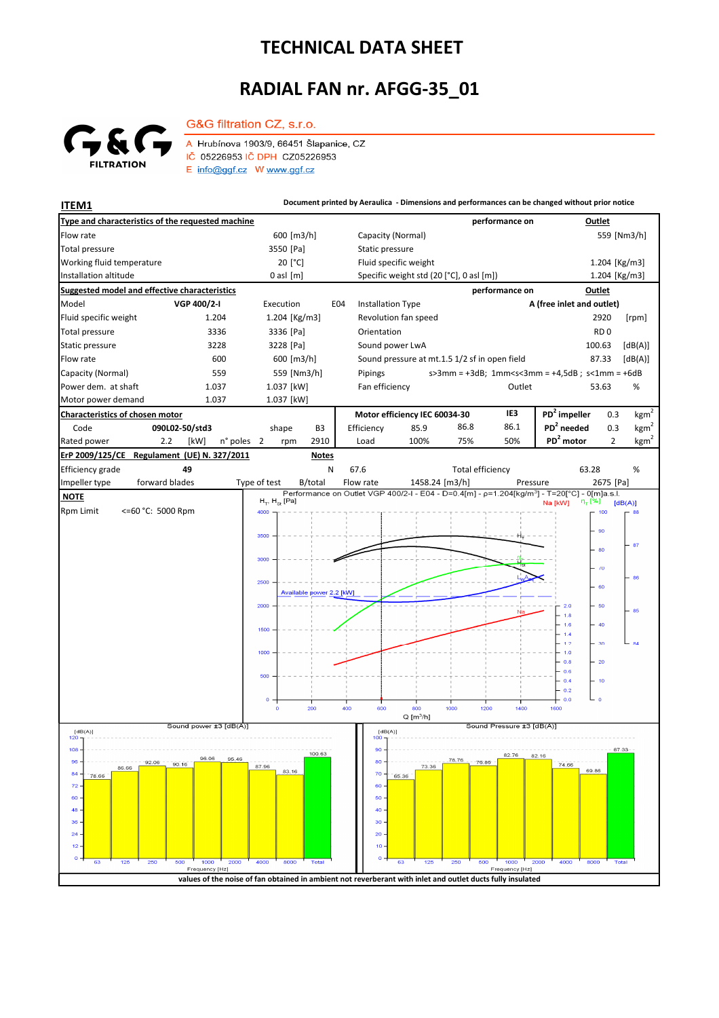## **TECHNICAL DATA SHEET**

## **RADIAL FAN nr. AFGG-35\_01**



G&G filtration CZ, s.r.o.

A Hrubínova 1903/9, 66451 Šlapanice, CZ IČ 05226953 IČ DPH CZ05226953  $E$  info@ggf.cz W www.ggf.cz

**ITEM1 ITEM1 Document printed by Aeraulica** - Dimensions and performances can be changed without prior notice **Type and characteristics of the requested machine performance on Outlet** Capacity (Normal) Flow rate 600 [m3/h] 559 [Nm3/h] [Pa] Static pressure Total pressure Working fluid temperature 20<sup>[°</sup>C] Fluid specific weight 1.204 [Kg/m3] Installation altitude 0 asl [m] Specific weight std (20 [°C], 0 asl [m]) Specific weight std (20 [°C], 0 asl [m]) 1.204 [Kg/m3] **Suggested model and effective characteristics performance on Outlet** Model **VGP 400/2-I** Execution E04 Installation Type **A (free inlet and outlet)** Fluid specific weight 1.204 1.204 [Kg/m3] Revolution fan speed 2920 [rpm] Total pressure 3336 3336 [Pa] Orientation **RD** 0 Static pressure 3228 3228 [Pa] Sound power LwA 100.63 [dB(A)] Flow rate 600 600 600 [m3/h] Sound pressure at mt.1.5 1/2 sf in open field 87.33 [dB(A)] Capacity (Normal) 559 559 [Nm3/h] s>3mm = +3dB; 1mm<s<3mm = +4,5dB ; s<1mm = +6dB Pipings Power dem. at shaft 1.037 1.037 [kW] Fan efficiency **COULLENT COULLET** COULLET **Fan efficiency** S3.63 % 53.63 Motor power demand 1.037 1.037 [kW] **Characteristics of chosen motor Motor efficiency IEC 60034-30 IE3 PD<sup>2</sup> impeller** 0.3  $kgm<sup>2</sup>$ Code **090L02-50/std3 PD<sup>2</sup> needed** 0.3 shape B3 Efficiency 85.9 86.8 86.1  $kgm^2$ n° poles 2 rpm 2910 Load 100% 75% 50% PD<sup>2</sup> motor 2 kgm<sup>2</sup> Rated power 2.2 [kW] 2 2910 Load 100% 75% 50% **PD<sup>2</sup> ErP 2009/125/CE Regulament (UE) N. 327/2011 Notes** 63.28 Efficiency grade **49** N 67.6 Total efficiency 63.28 % forward blades Impeller type forward blades Type of test B/total Flow rate 1458.24 [m3/h] Pressure 2675 [Pa]  **NOTE**  $H_{\pi}$ ,  $H_{\infty}$  [Pa]  $[dB(A)]$ Rpm Limit <=60 °C: 5000 Rpm 4000 100 90 250)  $\overline{87}$ 80 300C  $\overline{u}$ 86  $2500$  $\overline{a}$ Available power 2.2 [kW] 2000  $2.0$ 50 86  $1.8$  $1.6$ 1500  $1.4$  $1.2$  $\overline{\mathbf{36}}$  $1.0$  $0.8$  $\overline{20}$  $0.6$  $-0.4$  $-10$  $0.2$  $0.0$  $\frac{1}{400}$ **GOC**  $1000$ 1200  $1400$ .<br>1600  $Q[m^3/h]$ ا<br>[dB(A)] Sound power ±3 Sound Pressure ±3 [dB(A)]  $[dB(A)]$ <br>120 - T  $[dB(A)]$  $108$  $\overline{90}$  $100.63$  $82$ 76  $95.46$ an ap 78.76 80  $96$ 90.16 87.96 74.66 73.36 86.66 69.86 83.16 84  $7<sup>c</sup>$ 78.66 65.36  $\overline{z}$ 60  $60$ 50  $\overline{AB}$  $\overline{40}$  $36$ 30  $\overline{2}$  $\overline{20}$  $\overline{1}$  $10$  $\overline{c}$ Fred y [Hz by [Hz]

**values of the noise of fan obtained in ambient not reverberant with inlet and outlet ducts fully insulated**